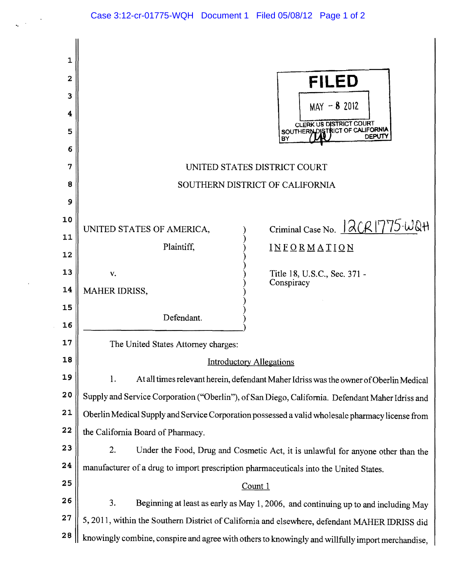$\bar{\phantom{a}}$  .

 $\ddot{\phantom{1}}$ 

 $\sim$ 

| 1<br>$\mathbf{2}$<br>3<br>4<br>5<br>6<br>7<br>8<br>9 |                                                                                                  | <b>FILED</b><br>$MAY - 82012$<br><b>CLERK US DISTRICT COURT</b><br>SOUTHERN DISTRICT OF CALIFORNIA<br>DEPUTY<br>BY<br>UNITED STATES DISTRICT COURT<br>SOUTHERN DISTRICT OF CALIFORNIA |
|------------------------------------------------------|--------------------------------------------------------------------------------------------------|---------------------------------------------------------------------------------------------------------------------------------------------------------------------------------------|
| 10<br>11<br>12                                       | UNITED STATES OF AMERICA,<br>Plaintiff,                                                          | Criminal Case No. 12CR1775-WQH<br>INFORMATION                                                                                                                                         |
| 13                                                   | V.                                                                                               | Title 18, U.S.C., Sec. 371 -<br>Conspiracy                                                                                                                                            |
| 14                                                   | <b>MAHER IDRISS,</b>                                                                             |                                                                                                                                                                                       |
| 15<br>16                                             | Defendant.                                                                                       |                                                                                                                                                                                       |
| 17                                                   | The United States Attorney charges:                                                              |                                                                                                                                                                                       |
| 18                                                   | <b>Introductory Allegations</b>                                                                  |                                                                                                                                                                                       |
| 19                                                   | 1.<br>At all times relevant herein, defendant Maher Idriss was the owner of Oberlin Medical      |                                                                                                                                                                                       |
| 20                                                   | Supply and Service Corporation ("Oberlin"), of San Diego, California. Defendant Maher Idriss and |                                                                                                                                                                                       |
| 21                                                   | Oberlin Medical Supply and Service Corporation possessed a valid wholesale pharmacy license from |                                                                                                                                                                                       |
| 22                                                   | the California Board of Pharmacy.                                                                |                                                                                                                                                                                       |
| 23                                                   | 2.<br>Under the Food, Drug and Cosmetic Act, it is unlawful for anyone other than the            |                                                                                                                                                                                       |
| 24                                                   | manufacturer of a drug to import prescription pharmaceuticals into the United States.            |                                                                                                                                                                                       |
| 25                                                   | Count 1                                                                                          |                                                                                                                                                                                       |
| 26                                                   | 3.<br>Beginning at least as early as May 1, 2006, and continuing up to and including May         |                                                                                                                                                                                       |
| 27                                                   | 5, 2011, within the Southern District of California and elsewhere, defendant MAHER IDRISS did    |                                                                                                                                                                                       |
| 28                                                   | knowingly combine, conspire and agree with others to knowingly and willfully import merchandise, |                                                                                                                                                                                       |